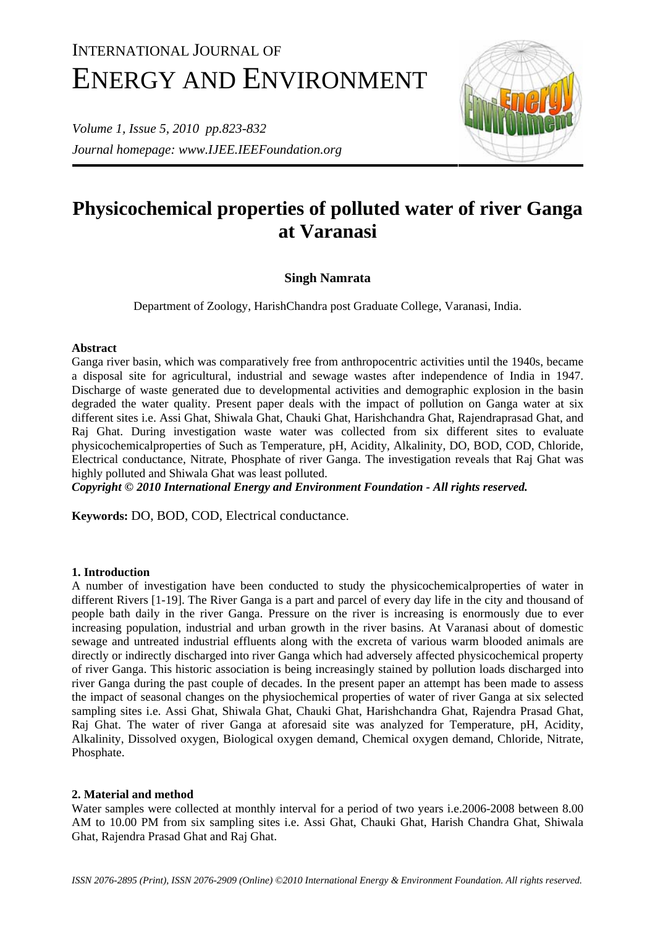# INTERNATIONAL JOURNAL OF ENERGY AND ENVIRONMENT

*Volume 1, Issue 5, 2010 pp.823-832 Journal homepage: www.IJEE.IEEFoundation.org* 



# **Physicochemical properties of polluted water of river Ganga at Varanasi**

# **Singh Namrata**

Department of Zoology, HarishChandra post Graduate College, Varanasi, India.

# **Abstract**

Ganga river basin, which was comparatively free from anthropocentric activities until the 1940s, became a disposal site for agricultural, industrial and sewage wastes after independence of India in 1947. Discharge of waste generated due to developmental activities and demographic explosion in the basin degraded the water quality. Present paper deals with the impact of pollution on Ganga water at six different sites i.e. Assi Ghat, Shiwala Ghat, Chauki Ghat, Harishchandra Ghat, Rajendraprasad Ghat, and Raj Ghat. During investigation waste water was collected from six different sites to evaluate physicochemicalproperties of Such as Temperature, pH, Acidity, Alkalinity, DO, BOD, COD, Chloride, Electrical conductance, Nitrate, Phosphate of river Ganga. The investigation reveals that Raj Ghat was highly polluted and Shiwala Ghat was least polluted.

*Copyright © 2010 International Energy and Environment Foundation - All rights reserved.*

**Keywords:** DO, BOD, COD, Electrical conductance.

## **1. Introduction**

A number of investigation have been conducted to study the physicochemicalproperties of water in different Rivers [1-19]. The River Ganga is a part and parcel of every day life in the city and thousand of people bath daily in the river Ganga. Pressure on the river is increasing is enormously due to ever increasing population, industrial and urban growth in the river basins. At Varanasi about of domestic sewage and untreated industrial effluents along with the excreta of various warm blooded animals are directly or indirectly discharged into river Ganga which had adversely affected physicochemical property of river Ganga. This historic association is being increasingly stained by pollution loads discharged into river Ganga during the past couple of decades. In the present paper an attempt has been made to assess the impact of seasonal changes on the physiochemical properties of water of river Ganga at six selected sampling sites i.e. Assi Ghat, Shiwala Ghat, Chauki Ghat, Harishchandra Ghat, Rajendra Prasad Ghat, Raj Ghat. The water of river Ganga at aforesaid site was analyzed for Temperature, pH, Acidity, Alkalinity, Dissolved oxygen, Biological oxygen demand, Chemical oxygen demand, Chloride, Nitrate, Phosphate.

## **2. Material and method**

Water samples were collected at monthly interval for a period of two years i.e.2006-2008 between 8.00 AM to 10.00 PM from six sampling sites i.e. Assi Ghat, Chauki Ghat, Harish Chandra Ghat, Shiwala Ghat, Rajendra Prasad Ghat and Raj Ghat.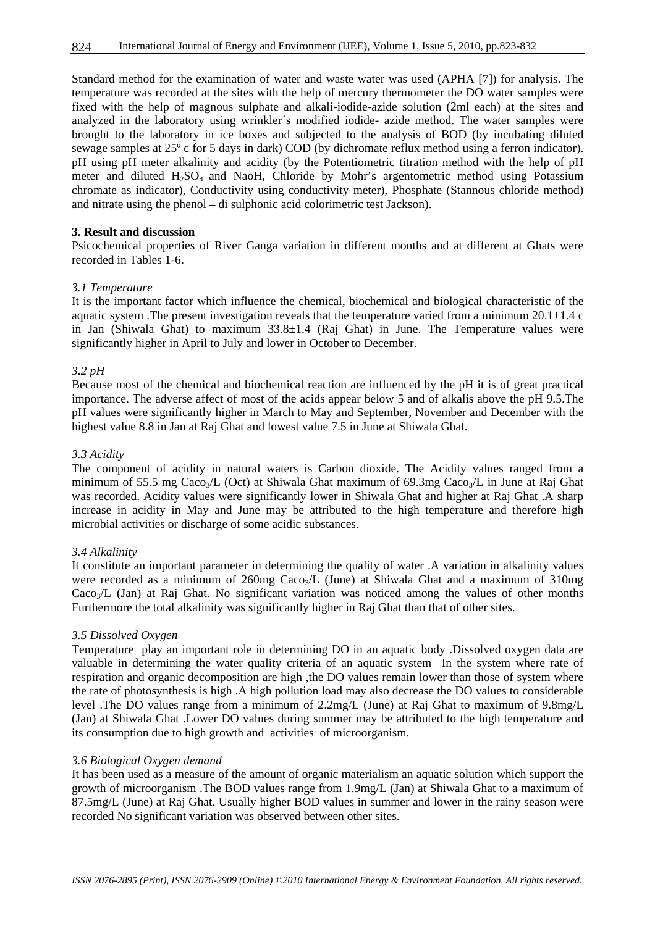Standard method for the examination of water and waste water was used (APHA [7]) for analysis. The temperature was recorded at the sites with the help of mercury thermometer the DO water samples were fixed with the help of magnous sulphate and alkali-iodide-azide solution (2ml each) at the sites and analyzed in the laboratory using wrinkler´s modified iodide- azide method. The water samples were brought to the laboratory in ice boxes and subjected to the analysis of BOD (by incubating diluted sewage samples at 25º c for 5 days in dark) COD (by dichromate reflux method using a ferron indicator). pH using pH meter alkalinity and acidity (by the Potentiometric titration method with the help of pH meter and diluted  $H<sub>2</sub>SO<sub>4</sub>$  and NaoH, Chloride by Mohr's argentometric method using Potassium chromate as indicator), Conductivity using conductivity meter), Phosphate (Stannous chloride method) and nitrate using the phenol – di sulphonic acid colorimetric test Jackson).

#### **3. Result and discussion**

Psicochemical properties of River Ganga variation in different months and at different at Ghats were recorded in Tables 1-6.

#### *3.1 Temperature*

It is the important factor which influence the chemical, biochemical and biological characteristic of the aquatic system .The present investigation reveals that the temperature varied from a minimum 20.1±1.4 c in Jan (Shiwala Ghat) to maximum 33.8±1.4 (Raj Ghat) in June. The Temperature values were significantly higher in April to July and lower in October to December.

#### *3.2 pH*

Because most of the chemical and biochemical reaction are influenced by the pH it is of great practical importance. The adverse affect of most of the acids appear below 5 and of alkalis above the pH 9.5.The pH values were significantly higher in March to May and September, November and December with the highest value 8.8 in Jan at Raj Ghat and lowest value 7.5 in June at Shiwala Ghat.

#### *3.3 Acidity*

The component of acidity in natural waters is Carbon dioxide. The Acidity values ranged from a minimum of 55.5 mg Caco<sub>3</sub>/L (Oct) at Shiwala Ghat maximum of 69.3mg Caco<sub>3</sub>/L in June at Raj Ghat was recorded. Acidity values were significantly lower in Shiwala Ghat and higher at Raj Ghat .A sharp increase in acidity in May and June may be attributed to the high temperature and therefore high microbial activities or discharge of some acidic substances.

#### *3.4 Alkalinity*

It constitute an important parameter in determining the quality of water .A variation in alkalinity values were recorded as a minimum of  $260mg$  Caco<sub>3</sub>/L (June) at Shiwala Ghat and a maximum of  $310mg$ Caco<sub>3</sub>/L (Jan) at Raj Ghat. No significant variation was noticed among the values of other months Furthermore the total alkalinity was significantly higher in Raj Ghat than that of other sites.

#### *3.5 Dissolved Oxygen*

Temperature play an important role in determining DO in an aquatic body .Dissolved oxygen data are valuable in determining the water quality criteria of an aquatic system In the system where rate of respiration and organic decomposition are high ,the DO values remain lower than those of system where the rate of photosynthesis is high .A high pollution load may also decrease the DO values to considerable level .The DO values range from a minimum of 2.2mg/L (June) at Raj Ghat to maximum of 9.8mg/L (Jan) at Shiwala Ghat .Lower DO values during summer may be attributed to the high temperature and its consumption due to high growth and activities of microorganism.

#### *3.6 Biological Oxygen demand*

It has been used as a measure of the amount of organic materialism an aquatic solution which support the growth of microorganism .The BOD values range from 1.9mg/L (Jan) at Shiwala Ghat to a maximum of 87.5mg/L (June) at Raj Ghat. Usually higher BOD values in summer and lower in the rainy season were recorded No significant variation was observed between other sites.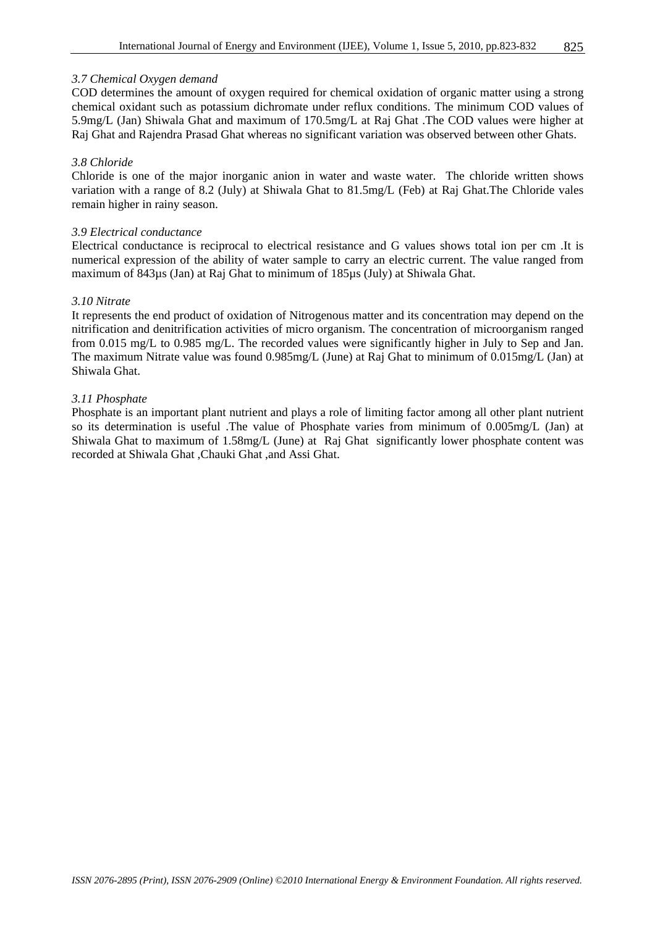#### *3.7 Chemical Oxygen demand*

COD determines the amount of oxygen required for chemical oxidation of organic matter using a strong chemical oxidant such as potassium dichromate under reflux conditions. The minimum COD values of 5.9mg/L (Jan) Shiwala Ghat and maximum of 170.5mg/L at Raj Ghat .The COD values were higher at Raj Ghat and Rajendra Prasad Ghat whereas no significant variation was observed between other Ghats.

#### *3.8 Chloride*

Chloride is one of the major inorganic anion in water and waste water. The chloride written shows variation with a range of 8.2 (July) at Shiwala Ghat to 81.5mg/L (Feb) at Raj Ghat.The Chloride vales remain higher in rainy season.

#### *3.9 Electrical conductance*

Electrical conductance is reciprocal to electrical resistance and G values shows total ion per cm .It is numerical expression of the ability of water sample to carry an electric current. The value ranged from maximum of 843µs (Jan) at Raj Ghat to minimum of 185µs (July) at Shiwala Ghat.

#### *3.10 Nitrate*

It represents the end product of oxidation of Nitrogenous matter and its concentration may depend on the nitrification and denitrification activities of micro organism. The concentration of microorganism ranged from 0.015 mg/L to 0.985 mg/L. The recorded values were significantly higher in July to Sep and Jan. The maximum Nitrate value was found 0.985mg/L (June) at Raj Ghat to minimum of 0.015mg/L (Jan) at Shiwala Ghat.

#### *3.11 Phosphate*

Phosphate is an important plant nutrient and plays a role of limiting factor among all other plant nutrient so its determination is useful .The value of Phosphate varies from minimum of 0.005mg/L (Jan) at Shiwala Ghat to maximum of 1.58mg/L (June) at Raj Ghat significantly lower phosphate content was recorded at Shiwala Ghat ,Chauki Ghat ,and Assi Ghat.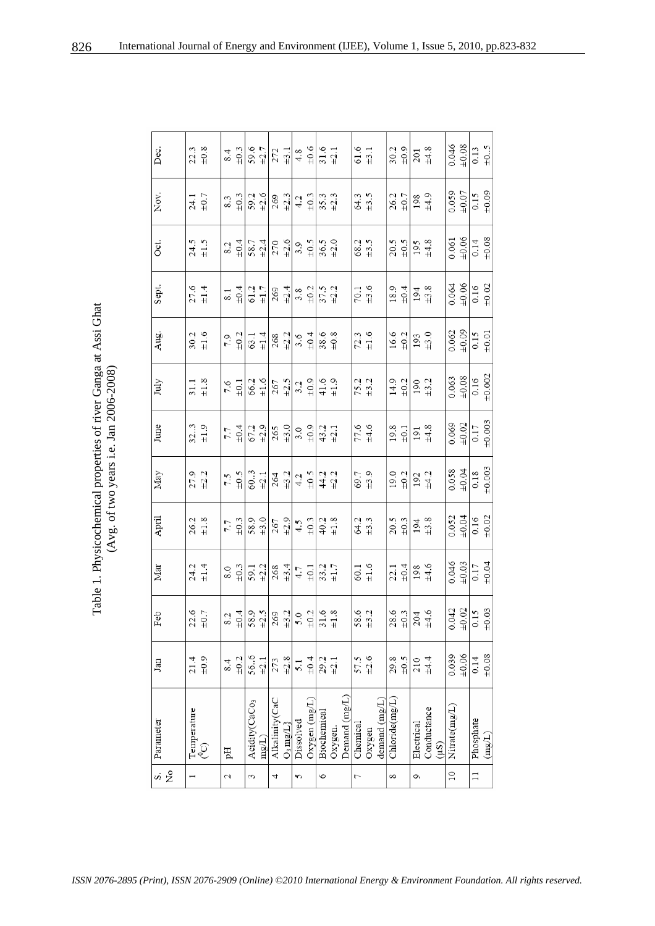| Physicochemical properties of river Ganga at Assi Gh<br>Avg. of two years i.e. Jan $2006-2008$ )<br>$\ddot{\cdot}$ |
|--------------------------------------------------------------------------------------------------------------------|
|--------------------------------------------------------------------------------------------------------------------|

| ž<br>s,               | Parameter                 | Jan                 | Feb                                                                                                                                                                                                                                                                                                          | Mar                                        | April                                         | May                                           | June                                          | July                                           | Aug.                                           | Sept.                                          | Oct.                | Nov.                | Dec.                                           |
|-----------------------|---------------------------|---------------------|--------------------------------------------------------------------------------------------------------------------------------------------------------------------------------------------------------------------------------------------------------------------------------------------------------------|--------------------------------------------|-----------------------------------------------|-----------------------------------------------|-----------------------------------------------|------------------------------------------------|------------------------------------------------|------------------------------------------------|---------------------|---------------------|------------------------------------------------|
|                       | Temperature               | 21.4                | $\begin{array}{c} 22.6 \\ \pm 0.7 \end{array}$                                                                                                                                                                                                                                                               | $24.2$<br>$\pm 1.4$                        | $26.2$<br>$\pm1.8$                            | $27.9$<br>$+2.2$                              | $32.3$<br>$\pm 1.9$                           | $\begin{array}{c} 31.1 \\ \pm 1.8 \end{array}$ | $\begin{array}{c} 30.2 \\ \pm 1.6 \end{array}$ | $27.6$ $\pm 1.4$                               | $24.5$<br>$\pm 1.5$ | $24.1$ $_{\pm0.7}$  | $\begin{array}{c} 22.3 \\ \pm 0.8 \end{array}$ |
|                       | Q,                        | $\pm 0.9$           |                                                                                                                                                                                                                                                                                                              |                                            |                                               |                                               |                                               |                                                |                                                |                                                |                     |                     |                                                |
| 2                     | pH                        | 8.4                 |                                                                                                                                                                                                                                                                                                              |                                            | 7.7                                           | 7.5                                           | 7.7                                           | 7.6                                            | 7.9                                            | 8.1                                            | 8.2                 | 8.3                 | 8.4                                            |
|                       |                           | ±0.2                |                                                                                                                                                                                                                                                                                                              | $rac{6}{3}$                                | $\pm 0.3$                                     | $_{5.0\pm}$                                   | $\pm 0.4$                                     | $\pm 0.1$                                      | $\pm 0.2$                                      | $\pm 0.4$                                      | $\pm 0.4$           | $\pm 0.3$           | $\pm 0.3$                                      |
| $\tilde{\mathcal{E}}$ | Acidity(CaCo <sub>3</sub> | 56.6                |                                                                                                                                                                                                                                                                                                              | $rac{1}{2}$                                | 58.9                                          | 60.3                                          | $67.2$<br>$\pm 2.9$                           |                                                |                                                | 61.2                                           |                     | 59.2                | 59.6                                           |
|                       | mg/L                      | $\pm 2.1$           |                                                                                                                                                                                                                                                                                                              |                                            | ±3.0                                          | $\pm 2.1$                                     |                                               | $66.2$<br>$\pm 1.6$                            | $63.1$<br>$\pm 1.4$                            | $\pm 1.7$                                      | $rac{1}{28.7}$      | $\pm 2.6$           |                                                |
| 4                     | Alkalinity(CaC            | 273                 |                                                                                                                                                                                                                                                                                                              |                                            |                                               |                                               |                                               |                                                |                                                |                                                |                     |                     | $\frac{12.7}{272}$                             |
|                       | $O_3$ mg/L]               | $\pm 2.8$           |                                                                                                                                                                                                                                                                                                              |                                            | $267$ $\pm 2.9$                               | $\begin{array}{c} 264 \\ \pm 3.2 \end{array}$ | $\frac{265}{\pm 3.0}$                         | $rac{267}{\pm 2.5}$                            |                                                | $269$<br>$\pm 2.4$                             | $270$<br>$\pm 2.6$  | $269$<br>$\pm 2.3$  |                                                |
| 5                     | Dissolved                 | 5.1                 | $\frac{32}{50}$ $\frac{3}{50}$ $\frac{3}{50}$ $\frac{3}{50}$ $\frac{3}{50}$ $\frac{3}{50}$ $\frac{3}{50}$ $\frac{3}{50}$ $\frac{3}{50}$ $\frac{3}{50}$ $\frac{3}{50}$ $\frac{3}{50}$ $\frac{3}{50}$ $\frac{3}{50}$ $\frac{3}{50}$ $\frac{3}{50}$ $\frac{3}{50}$ $\frac{3}{50}$ $\frac{3}{50}$ $\frac{3}{50}$ | $\frac{268}{4.7}$                          | $4.5 + 0.3$                                   |                                               |                                               |                                                | $268$<br>$\frac{12}{3}$ , $\frac{6}{5}$        |                                                | $3.9 + 5$           |                     | $rac{9}{3}$                                    |
|                       | Oxygen $(mg/L)$           | $\pm 0.4$           |                                                                                                                                                                                                                                                                                                              |                                            |                                               | $4.2 \pm 0.5$                                 | $rac{3}{40}$                                  | $rac{3}{40.9}$                                 |                                                | $rac{3.8}{101}$                                |                     | $4.2$<br>$\pm 0.3$  |                                                |
| $\circ$               | Biochemical               | $29.2$<br>$\pm 2.1$ |                                                                                                                                                                                                                                                                                                              | $33.2$<br>$\pm 1.7$                        | $40.2$<br>$\pm1.8$                            | $44.2$<br>$\pm 2.2$                           | $43.2$<br>$\pm 2.1$                           | $41.6$<br>$\pm 1.9$                            |                                                | $\frac{37.5}{\pm 2.2}$                         | $36.5$<br>$+2.0$    | $35.3$<br>$+2.3$    | $31.6$<br>$+2.1$                               |
|                       | Oxygen.                   |                     |                                                                                                                                                                                                                                                                                                              |                                            |                                               |                                               |                                               |                                                | $38.6$<br>$\pm 0.8$                            |                                                |                     |                     |                                                |
|                       | Demand (mg/L)             |                     |                                                                                                                                                                                                                                                                                                              |                                            |                                               |                                               |                                               |                                                |                                                |                                                |                     |                     |                                                |
| 7                     | Chemical                  | 57.5                | $58.6$<br>$\pm 3.2$                                                                                                                                                                                                                                                                                          | $60.1$ $\pm 1.6$                           | $64.2$<br>$\pm 3.3$                           | $69.7$<br>$\pm 3.9$                           | $77.6$<br>$\pm 4.6$                           | 75.2<br>#3.2                                   | $72.3$<br>$\pm 1.6$                            | $\begin{array}{c} 70.1 \\ \pm 3.6 \end{array}$ | 68.2<br>+3.5        | $64.3$<br>$\pm 3.5$ | $61.6$<br>$\pm 3.1$                            |
|                       | Oxygen                    | ±2.6                | $\frac{1}{2}$                                                                                                                                                                                                                                                                                                |                                            |                                               |                                               |                                               |                                                |                                                |                                                |                     |                     |                                                |
|                       | demand (mg/L)             |                     |                                                                                                                                                                                                                                                                                                              |                                            |                                               |                                               |                                               |                                                |                                                |                                                |                     |                     |                                                |
| 8                     | Chloride(mg/L)            | 29.8                |                                                                                                                                                                                                                                                                                                              | $22.1$<br>$\pm 0.4$                        | $20.5 + 0.3 + 0.3$                            | $19.0$<br>$\pm 0.2$                           | $19.8$<br>$\pm 0.1$                           | $14.9 + 2 + 0.2$                               | $16.6$ $\pm 0.2$                               | $18.9$<br>$+0.4$                               | $20.5 + 0.5$        | $26.2$<br>$\pm 0.7$ | $30.2$<br>$\pm 0.9$                            |
|                       |                           | $\pm 0.5$           |                                                                                                                                                                                                                                                                                                              |                                            |                                               |                                               |                                               |                                                |                                                |                                                |                     |                     |                                                |
| Ó                     | Electrical                | 210                 | $28.6$<br>$\frac{3}{10}$<br>$\frac{3}{4}$<br>$\frac{4}{4}$                                                                                                                                                                                                                                                   | $\begin{array}{c} 198 \\ +4.6 \end{array}$ | $\begin{array}{c} 194 \\ \pm 3.8 \end{array}$ | $\begin{array}{c} 192 \\ +4.2 \end{array}$    | $\begin{array}{c} 191 \\ \pm 4.8 \end{array}$ | $\begin{array}{c} 190 \\ \pm 3.2 \end{array}$  | $\begin{array}{c} 193 \\ \pm 3.0 \end{array}$  | $\begin{array}{c} 194 \\ +3.8 \end{array}$     | $195$<br>$\pm 4.8$  | $198$<br>$\pm 4.9$  | $\begin{array}{c} 201 \\ +4.8 \end{array}$     |
|                       | Conductance<br>(1.5)      | $\pm 4.4$           |                                                                                                                                                                                                                                                                                                              |                                            |                                               |                                               |                                               |                                                |                                                |                                                |                     |                     |                                                |
| $\overline{10}$       | Nitrate(mg/L)             | 0.039               |                                                                                                                                                                                                                                                                                                              |                                            | 0.052                                         |                                               | 0.069                                         |                                                |                                                |                                                |                     |                     | 0.046                                          |
|                       |                           | ±0.06               |                                                                                                                                                                                                                                                                                                              | $0.046$<br>$±0.03$                         | $\pm 0.04$                                    | $0.058$<br>$±0.04$                            | $\pm 0.02$                                    | $0.063$<br>$+0.08$                             | $0.062$<br>$+0.09$                             | $0.064$<br>$±0.06$                             | $0.061$<br>$±0.06$  | $0.059$<br>$+0.07$  | $\pm 0.08$                                     |
| $\equiv$              | Phosphate                 | 0.14                | $0.042$<br>$\pm 0.02$<br>$\pm 0.15$<br>$\pm 0.03$                                                                                                                                                                                                                                                            | $0.17$<br>$±0.04$                          | 0.16                                          | $0.18\,$                                      | $0.17\,$                                      | $0.16$<br>$\pm 0.002$                          | 0.15                                           | $0.16$<br>$\pm 0.02$                           |                     | 0.15                | $0.13$<br>$\pm 0.5$                            |
|                       | (mg/L)                    | ±0.08               |                                                                                                                                                                                                                                                                                                              |                                            | ±0.02                                         | ±0.003                                        | ±0.003                                        |                                                | $\pm 0.01$                                     |                                                | $0.14$<br>$+0.08$   | ±0.09               |                                                |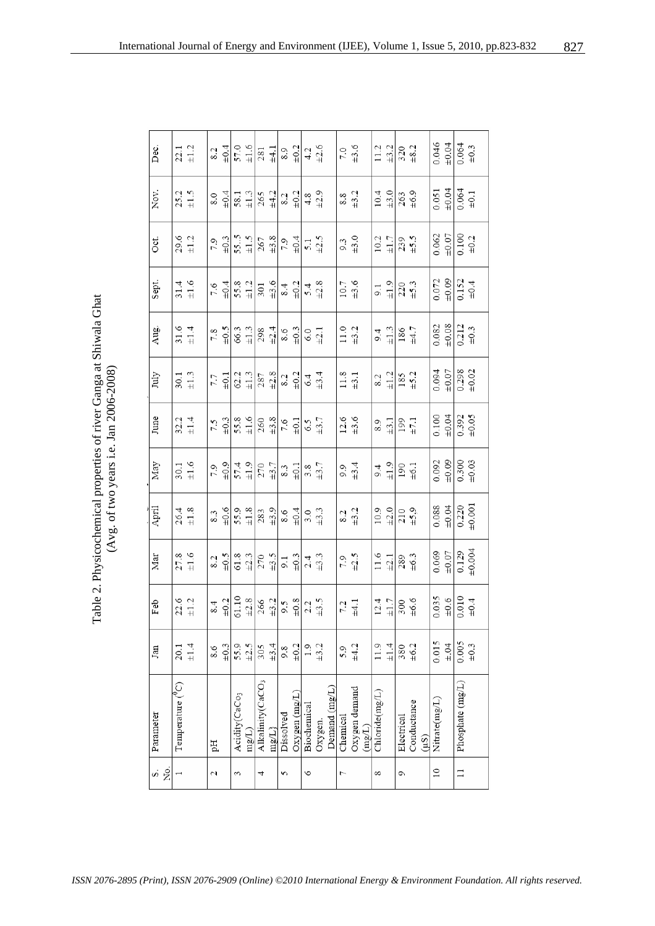Table 2. Physicochemical properties of river Ganga at Shiwala Ghat (Avg. of two years i.e. Jan 2006-2008) Table 2. Physicochemical properties of river Ganga at Shiwala Ghat (Avg. of two years i.e. Jan 2006-2008)

| Dec.      | $22.1$<br>$\pm 1.2$                            |     | $_{\pm 0.4}$ | 57.0                      | $\pm 1.6$               | $281$<br>$\pm 4.1$                            |                                               | 8.9             | $\pm 0.2$                                     | $4.2$<br>$\pm 2.6$ |                    |               | $7.0$<br>$\pm 3.6$                                                     |                                         | 11.2                       | $\pm 3.2$ | $320$<br>$\pm 8.2$       |             |       | 0.046         | ±0.04     | $0.064$<br>$\pm 0.3$   |           |
|-----------|------------------------------------------------|-----|--------------|---------------------------|-------------------------|-----------------------------------------------|-----------------------------------------------|-----------------|-----------------------------------------------|--------------------|--------------------|---------------|------------------------------------------------------------------------|-----------------------------------------|----------------------------|-----------|--------------------------|-------------|-------|---------------|-----------|------------------------|-----------|
| Nov.      | $25.2$<br>$\pm 1.5$                            | 8.0 | ±0.4         | 58.1                      | $\pm 1.3$               | $265$ $\pm 4.2$                               |                                               | 8.2             | $\pm 0.2$                                     |                    | $^{4.8}_{+2.9}$    |               | 8.8                                                                    | $\pm 3.2$                               | 10.4                       | $\pm 3.0$ | $263$<br>$\pm 6.9$       |             |       | 0.051         | $+0.04$   | $0.064$<br>$\pm 0.1$   |           |
| Öci.      | $29.6$<br>$\pm 1.2$                            | 7.9 | $\pm 0.3$    |                           | $rac{11.5}{11.5}$       |                                               | $\frac{267}{\pm 3.8}$                         | $7.9$<br>$+0.4$ |                                               | $\frac{5.1}{42.5}$ |                    |               | $\begin{array}{c} 9.3 \\ \text{ }43.0 \end{array}$                     |                                         | $10.2$<br>$\pm 1.7$        |           | $239$ $\pm 5.5$          |             |       | 0.062         | $+0.07$   | $0.100$<br>$\pm 0.2$   |           |
| Sept.     | $31.4$<br>$\pm 1.6$                            | 7.6 | $\pm 0.4$    | $55.8$ $\pm 1.2$          |                         | 301                                           | $\pm 3.6$                                     | 8.4             | $\pm 0.2$                                     | $5.4$<br>$+2.8$    |                    |               | 10.7                                                                   | ±3.6                                    | 9.1                        | $\pm 1.9$ | $220$ $\pm 5.3$          |             |       | 0.072         | ±0.09     | $0.152$<br>$\pm 0.4$   |           |
| Aug.      | $31.6$<br>$\pm 1.4$                            | 7.8 | $z_{0\pm}$   |                           | $66.3$<br>$\pm 1.3$     | $298$<br>$\pm 2.4$                            |                                               |                 | $\begin{array}{c} 8.6 \\ \pm 0.3 \end{array}$ | $6.0$<br>$\pm 2.1$ |                    |               | $\begin{array}{c} 11.0 \\ +3.2 \end{array}$                            |                                         | 9.4                        | $\pm 1.3$ | $186$ $\pm 4.7$          |             |       | 0.082         | ±0.08     | $0.212$<br>$\pm 0.3$   |           |
| July      | $30.1$<br>$\pm 1.3$                            | 7.7 | $\pm 0.1$    |                           | $62.2$<br>$\pm 1.3$     |                                               | $\begin{array}{c} 287 \\ \pm 2.8 \end{array}$ |                 | $\frac{8.2}{\pm 0.2}$                         | $6.4$<br>$\pm 3.4$ |                    |               | $\begin{array}{c} 11.8 \\ \pm 3.1 \end{array}$                         |                                         | 8.2                        | $\pm 1.2$ | $185$<br>$\pm 5.2$       |             |       | 0.094         | ±0.07     | $0.298$<br>$+0.02$     |           |
| June      | $32.1$<br>$\pm 1.4$                            | 7.5 | ±0.3         |                           | $rac{3.8}{\pm1.6}$      |                                               | $\frac{260}{\pm 3.8}$                         |                 | $7.6$ $\pm 0.1$                               | $6.5$ $\pm 3.7$    |                    |               | $\frac{12.6}{+3.6}$                                                    |                                         | 8.9                        | $\pm 3.1$ | 199 $\pm 7.1$            |             |       | 0.100         | $+0.04$   | $0.392$<br>$+0.05$     |           |
| May       | $\begin{array}{c} 30.1 \\ \pm 1.6 \end{array}$ | 7.9 | $\pm 0.9$    |                           | $57.4$<br>$\pm 1.9$     |                                               | $270$<br>$\pm 3.7$                            |                 | $\substack{8.3 \\ \pm 0.1}$                   | $3.8$<br>$\pm 3.7$ |                    |               | $9.9 + 3.4$                                                            |                                         | $9.4$<br>$\frac{1.9}{1.2}$ |           | $190$<br>$\pm 6.1$       |             |       | 0.092         | ±0.09     | $0.300$<br>$\pm 0.03$  |           |
| April     | $26.4$<br>$\pm 1.8$                            | 8.3 | $\pm 0.6$    | 55.9                      | $\pm 1.8$               | $\begin{array}{c} 283 \\ \pm 3.9 \end{array}$ |                                               | 8.6             | $\pm 0.4$                                     |                    | $3.0$<br>$\pm 3.3$ |               | 8.2                                                                    | $\pm 3.2$                               | 10.9                       | $\pm 2.0$ | $^{210}_{+5,9}$          |             |       | 0.088         | ±0.04     | $0.220$<br>$\pm 0.001$ |           |
| Mar       | $27.8$<br>$\pm 1.6$                            | 8.2 | $\sim 00$    |                           | $61.8$ $\pm 2.3$        |                                               | $270$<br>$\pm 3.5$                            |                 | $\frac{3}{4}$                                 | $2.4$<br>$\pm 3.3$ |                    |               | 7.9<br>$\pm 2.5$                                                       |                                         | $\frac{11.6}{\pm 2.1}$     |           | $\substack{289 \\ +6.3}$ |             |       | 0.069         | ±0.07     | 0.129                  | ±0.004    |
| Feb       | $22.6$<br>$\pm 1.2$                            | 8.4 | $\pm 0.2$    |                           | $\frac{61.10}{\pm 2.8}$ | $\frac{266}{\pm 3.2}$                         |                                               | $\tilde{s}$ :6  | $\pm 0.8$                                     | $2.2$<br>$\pm 3.5$ |                    |               | $\!\!\begin{array}{c} \texttt{7.2} \\ \texttt{+4.1} \end{array}\!\!\!$ |                                         | 12.4                       | $\pm 1.7$ | $300$<br>$\pm 6.6$       |             |       | 0.035         | $\pm 0.6$ | 0.010                  | $\pm 0.4$ |
| Jan       | $20.1$<br>$\pm 1.4$                            | 8.6 | $\pm 0.3$    | 55.9                      | $\pm 2.5$               | 305                                           | ±3.4                                          | 9.8             | $\pm 0.2$                                     | $1.9$<br>$\pm 3.2$ |                    |               | 5.9                                                                    | ±4.2                                    | 11.9                       | ±1.4      | 380                      | ±6.2        |       | 0.015         | $\pm.04$  | 0.005                  | $\pm 0.3$ |
| Parameter | Temperature ( <sup>9</sup> C)                  | pH  |              | Acidity(CaCo <sub>3</sub> | mg(L)                   | Alkalinity(CaCO <sub>3</sub>                  | $\text{mg/L}\}$                               | Dissolved       | Oxygen(mg/L)                                  | Biochemical        | Oxygen.            | Demand (mg/L) | Chemical                                                               | Oxygen demand<br>$\text{mag}(\text{L})$ | Chloride(mg/L)             |           | Electrical               | Conductance | (1.5) | Nitrate(mg/L) |           | Phosphate (mg/L)       |           |
| Σó<br>si  |                                                | 2   |              | 3                         |                         | 4                                             |                                               | 5               |                                               | $\circ$            |                    |               | 7                                                                      |                                         | 8                          |           | c                        |             |       | $\approx$     |           | $\Box$                 |           |

827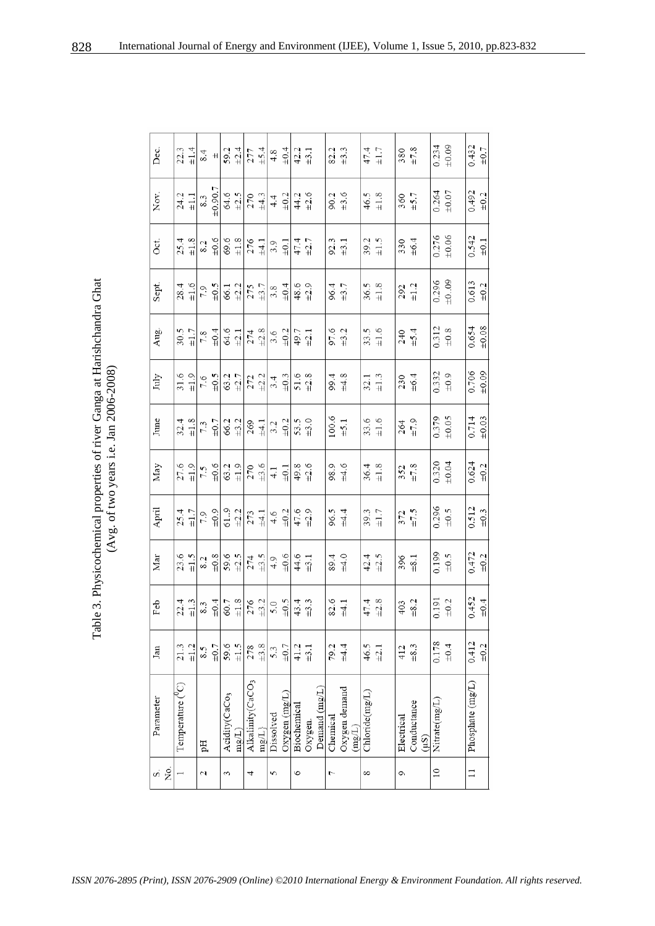| Table 3. Physicochemical properties of river Ganga at Harishchandra Ghat<br>(Avg. of two years i.e. Jan $2006-2008$ ) |
|-----------------------------------------------------------------------------------------------------------------------|
|-----------------------------------------------------------------------------------------------------------------------|

| ż.<br>si        | Parameter                        | Jan       | Feb                                                                                 | Mar                                           | April                | May                         | June                 | July                                           | Aug.                                                          | Sept.               | Oct.                                          | Nov.                 | Dec.                                       |
|-----------------|----------------------------------|-----------|-------------------------------------------------------------------------------------|-----------------------------------------------|----------------------|-----------------------------|----------------------|------------------------------------------------|---------------------------------------------------------------|---------------------|-----------------------------------------------|----------------------|--------------------------------------------|
|                 |                                  |           |                                                                                     |                                               |                      |                             |                      |                                                |                                                               |                     |                                               |                      |                                            |
|                 | Temperature ( <sup>0</sup> C)    | 21.3      |                                                                                     |                                               | 25.4                 |                             |                      |                                                |                                                               |                     |                                               |                      |                                            |
|                 |                                  | $\pm 1.2$ | $22.4$<br>$\pm 1.3$                                                                 | $23.6$<br>$\pm 1.5$                           | $\pm 1.7$            | $27.6$<br>$\pm 1.9$         | $32.4$<br>$\pm 1.8$  | $31.6$<br>$\pm 1.9$                            | $30.5$<br>$\pm 1.7$                                           | $28.4$<br>$\pm 1.6$ | $25.4$<br>$\pm 1.8$                           | $24.2$<br>$\pm1.1$   | $22.3$<br>$\pm 1.4$                        |
| 2               | ÞН                               | 8.5       |                                                                                     | 8.2                                           | 7.9                  | 7.5                         | 7.3                  | 7.6                                            | 7.8                                                           | 7.9                 | 8.2                                           | 8.3                  | 8.4                                        |
|                 |                                  | ±0.7      |                                                                                     | ±0.8                                          | $\pm 0.9$            | $-6.6$                      | $\pm 0.7$            | $-0.5$                                         | $\pm 0.4$                                                     | $-10.5$             | ±0.6                                          | ±0.90.7              | $\pm\,$                                    |
| 3               | Acidity(CaCo <sub>3</sub>        | 59.6      |                                                                                     |                                               |                      |                             |                      |                                                |                                                               |                     |                                               | 64.6                 |                                            |
|                 | mg(L)                            | ±1.5      |                                                                                     | $59.6$<br>$+2.5$                              | $61.9$<br>$+2.2$     | $63.2$<br>$\pm1.9$          | $66.2$ $\pm 3.2$     | $63.2$ $\pm 2.7$                               | $64.6$ $\pm 2.1$                                              | $66.1$<br>$\pm 2.2$ | $69.6$<br>$\pm 1.8$                           | $\pm 2.5$            | $59.2$ $\pm 2.4$                           |
| 4               | Alkalinity(CaCO <sub>3</sub>     | 278       | $rac{3}{8}$ $rac{4}{3}$ $rac{1}{8}$ $rac{8}{1}$ $rac{8}{2}$ $rac{4}{3}$ $rac{4}{3}$ |                                               | 273                  |                             | $269$ $\pm 4.1$      | $\begin{array}{c} 272 \\ \pm 2.2 \end{array}$  |                                                               | $275$ $\pm 3.7$     |                                               | 270                  |                                            |
|                 | $\max \{1\}$                     | ±3.8      |                                                                                     | $274 \atop +3.5$                              | $\pm 4.1$            | $270$<br>$\frac{13.6}{4.1}$ |                      |                                                |                                                               |                     | $276$ $\pm 4.1$                               | ±4.3                 | $277$ $\pm 5.4$                            |
| 5               | Dissolved                        | 5.3       | 5.0                                                                                 | 4.9                                           | 4.6                  |                             |                      | 3.4                                            | $274$<br>$\frac{28}{11}$<br>$\frac{8}{10}$<br>$\frac{21}{11}$ |                     |                                               | 4.4                  | 4.8                                        |
|                 | $Oxy$ gen $(mg/L)$               | $\pm 0.7$ | $\frac{10.5}{5}$                                                                    | $+0.6$                                        | $\pm 0.2$            | $\pm 0.1$                   | $3.2$<br>$\pm 0.2$   | $\pm 0.3$                                      |                                                               | $3.8$<br>$\pm 0.4$  | $\begin{array}{c} 3.9 \\ \pm 0.1 \end{array}$ | ±0.2                 | $\pm 0.4$                                  |
| $\circ$         | Biochemical                      | 41.2      |                                                                                     |                                               |                      |                             |                      |                                                |                                                               |                     |                                               |                      |                                            |
|                 | Oxygen.                          | $\pm$ 3.1 | $43.4$<br>$\pm 3.3$                                                                 | $44.6$<br>$\pm 3.1$                           | $47.6$<br>$\pm 2.9$  | $49.8$<br>$+2.6$            | $53.5$<br>$\pm 3.0$  | $51.6$<br>$\pm 2.8$                            | $49.7$<br>$\pm 2.1$                                           | $48.6$<br>$\pm 2.9$ | $47.4$<br>$\pm 2.7$                           | $44.2$<br>$+2.6$     | $42.2$ $\pm 3.1$                           |
|                 | Demand (mg/L)                    |           |                                                                                     |                                               |                      |                             |                      |                                                |                                                               |                     |                                               |                      |                                            |
| 7               | Chemical                         | 79.2      |                                                                                     | 89.4                                          |                      | 98.9                        |                      | 99.4                                           |                                                               |                     | 92.3                                          | 90.2                 | 82.2                                       |
|                 | Oxygen demand<br>$(\text{mg/L})$ | ±4.4      | $82.6$<br>$\pm 4.1$                                                                 | $\pm 4.0$                                     | $96.5$<br>$\pm 4.4$  | ±4.6                        | $100.6$<br>$\pm 5.1$ | ±4.8                                           | 97.6<br>+3.2                                                  | 96.4<br>+3.7        | $\pm 3.1$                                     | ±3.6                 | $\pm 3.3$                                  |
| 8               | Chloride(mg/L)                   | 46.5      |                                                                                     |                                               |                      |                             |                      |                                                |                                                               |                     |                                               |                      |                                            |
|                 |                                  | $\pm 2.1$ | $47.4$<br>$+2.8$                                                                    | $42.4$<br>$\pm 2.5$                           | $39.3$<br>$\pm 1.7$  | $36.4$<br>$\pm 1.8$         | $33.6$<br>$\pm 1.6$  | $\begin{array}{c} 32.1 \\ \pm 1.3 \end{array}$ | $33.5$<br>$\pm 1.6$                                           | $36.5$<br>$\pm 1.8$ | $39.2$<br>$\pm 1.5$                           | $46.5$<br>$\pm 1.8$  | $47.4$<br>$\pm 1.7$                        |
| ç               | Electrical                       | 412       |                                                                                     |                                               | 372                  | 352                         |                      |                                                |                                                               | 292                 |                                               | 360                  |                                            |
|                 | Conductance<br>(1.5)             | ±8.3      | $\begin{array}{c} 403 \\ \pm 8.2 \end{array}$                                       | $\begin{array}{c} 396 \\ \pm 8.1 \end{array}$ | ±7.5                 | $\pm 7.8$                   | $264$<br>$\pm 7.9$   | $230$<br>$\pm 6.4$                             | $240$<br>$\pm 5.4$                                            | $\pm 1.2$           | $330$<br>$\pm 6.4$                            | $\pm$ 5.7            | $\begin{array}{c} 380 \\ +7.8 \end{array}$ |
| $\overline{10}$ | Nitrate(mg/L)                    | 0.178     |                                                                                     |                                               |                      | 0.320                       | 0.379                |                                                |                                                               | 0.296               |                                               | 0.264                | 0.234                                      |
|                 |                                  | $\pm 0.4$ | $0.191$<br>$+0.2$                                                                   | $6.199$<br>$+0.5$                             | $0.296$<br>$\pm 0.5$ | ±0.04                       | ±0.05                | $0.332$<br>$\pm 0.9$                           | $0.312$<br>$\pm 0.8$                                          | ±009                | $0.276$<br>$+0.06$                            | $\pm 0.07$           | ±0.09                                      |
| $\Box$          | Phosphate (mg/L)                 | 0.412     |                                                                                     |                                               |                      |                             | 0.714                | 0.706                                          | 0.654                                                         | 0.613               |                                               |                      |                                            |
|                 |                                  | $\pm 0.2$ | $0.452$<br>$\pm 0.4$                                                                | $0.472$<br>$_{\pm 0.2}$                       | $0.512$<br>$\pm 0.3$ | $0.624$<br>$\pm 0.2$        | ±0.03                | ±0.09                                          | ±0.08                                                         | $\pm 0.2$           | $0.542$<br>$_{\pm 0.1}$                       | $0.492$<br>$\pm 0.2$ | $0.432$<br>$_{\pm 0.7}$                    |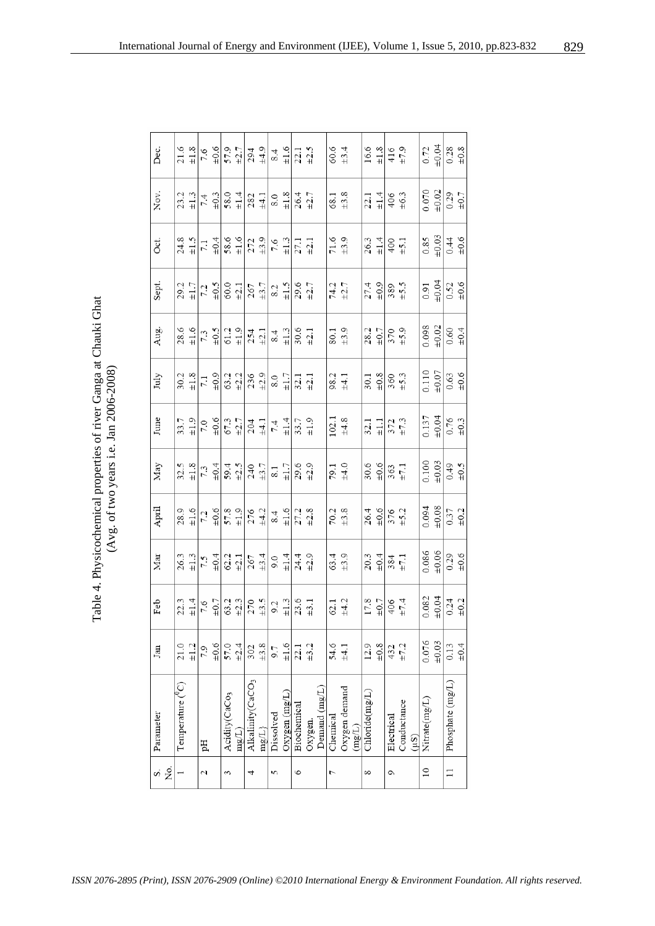Table 4. Physicochemical properties of river Ganga at Chauki Ghat<br>(Avg. of two years i.e. Jan 2006-2008) Table 4. Physicochemical properties of river Ganga at Chauki Ghat (Avg. of two years i.e. Jan 2006-2008)

| Dec.      | $21.6$<br>$\pm 1.8$                            | 7.6                | $\pm 0.6$ | $\frac{57.9}{\pm 2.7}$                                    |                                                |                                                                                                                                                                                                                                                                                                                                                                                                                                                           | $^{294}_{±4.9}$    | $rac{4}{11.6}$                                                 |                                       | $22.1$<br>$\pm 2.5$                            |         |               | $60.6$<br>$\pm 3.4$ |                                             |        |                | $\frac{16.6}{\pm 1.8}$ | $416$<br>$\pm 7.9$                                                         |             |      |               |                    | $0.72$<br>$\frac{0.04}{0.28}$                                                      |           |
|-----------|------------------------------------------------|--------------------|-----------|-----------------------------------------------------------|------------------------------------------------|-----------------------------------------------------------------------------------------------------------------------------------------------------------------------------------------------------------------------------------------------------------------------------------------------------------------------------------------------------------------------------------------------------------------------------------------------------------|--------------------|----------------------------------------------------------------|---------------------------------------|------------------------------------------------|---------|---------------|---------------------|---------------------------------------------|--------|----------------|------------------------|----------------------------------------------------------------------------|-------------|------|---------------|--------------------|------------------------------------------------------------------------------------|-----------|
| Nov.      | $23.2$<br>$\pm 1.3$                            | 7.4                | $\pm 0.3$ |                                                           | $\begin{array}{c} 58.0 \\ \pm 1.4 \end{array}$ | $\begin{array}{c} 282 \\ \pm 4.1 \end{array}$                                                                                                                                                                                                                                                                                                                                                                                                             |                    |                                                                | $rac{8.0}{11.8}$                      | $26.4$ $\pm 2.7$                               |         |               |                     | $\begin{array}{c} 68.1 \\ +3.8 \end{array}$ |        | 22.1           | $\pm 1.4$              | $406$<br>$\pm 6.3$                                                         |             |      |               |                    | $0.070$<br>$+0.02$<br>$+0.29$<br>$+0.7$                                            |           |
| Öci.      | $24.8$<br>$\pm 1.5$                            | $7.1\,$            | $\pm 0.4$ |                                                           |                                                | $\begin{array}{c} 58.6 \\ \pm 1.6 \\ 272 \\ \pm 3.9 \end{array}$                                                                                                                                                                                                                                                                                                                                                                                          |                    |                                                                |                                       | $\frac{5}{271}$                                |         |               | $71.6$<br>$\pm 3.9$ |                                             |        |                |                        | $\frac{3}{4}$ $\frac{3}{4}$ $\frac{4}{8}$ $\frac{5}{4}$                    |             |      |               |                    | $\frac{26}{3}$<br>$\frac{3}{4}$<br>$\frac{3}{4}$<br>$\frac{4}{5}$<br>$\frac{4}{5}$ |           |
| Sept.     | $29.2$<br>$\pm 1.7$                            | 7.2                |           | $\frac{10.5}{60.0}$                                       |                                                |                                                                                                                                                                                                                                                                                                                                                                                                                                                           |                    | $\frac{267}{\frac{13}{12}}$<br>$\frac{2}{8}$<br>$\frac{5}{11}$ |                                       | $29.6$<br>$\pm 2.7$                            |         |               | $74.2$<br>$+2.7$    |                                             |        |                |                        | $27.4$<br>$-9.8$<br>$-9.5$<br>$-1.5$                                       |             |      |               | $0.91$<br>$+0.04$  | $0.52$<br>$\pm 0.6$                                                                |           |
| Aug.      | $28.6$ $\pm 1.6$                               | $7.3$ $\pm 0.5$    |           | $61.2$ $\pm 1.9$                                          |                                                | $\substack{254 \\ \pm 2.1}$                                                                                                                                                                                                                                                                                                                                                                                                                               |                    |                                                                | $\overset{8.4}{\scriptstyle \pm 1.3}$ | $\begin{array}{c} 30.6 \\ \pm 2.1 \end{array}$ |         |               |                     | $6.1$<br>$+3.9$                             |        |                | $28.2$<br>$\pm 0.7$    | $370$<br>$\pm 5.9$                                                         |             |      |               |                    | $0.098$<br>$+0.02$<br>$+0.60$<br>$+0.4$                                            |           |
| July      | $\begin{array}{c} 30.2 \\ \pm 1.8 \end{array}$ | $7.1\,$            | $\pm 0.9$ |                                                           |                                                | $rac{3}{6}$ $rac{3}{4}$ $rac{8}{6}$ $rac{3}{4}$ $rac{1}{8}$ $rac{5}{4}$                                                                                                                                                                                                                                                                                                                                                                                   |                    |                                                                |                                       | $\begin{array}{c} 32.1 \\ +2.1 \end{array}$    |         |               |                     | $98.2$<br>$\pm 4.1$                         |        |                | $rac{30.1}{40.8}$      | $360$<br>$\pm 5.3$                                                         |             |      |               | $0.110$<br>$+0.07$ | $0.63$<br>$\pm 0.6$                                                                |           |
| June      | $33.7$<br>$\pm 1.9$                            |                    |           | $7.0$<br>$\frac{6}{5}$<br>$\frac{6}{5}$<br>$\frac{3}{12}$ |                                                |                                                                                                                                                                                                                                                                                                                                                                                                                                                           | $204$<br>$\pm 4.1$ |                                                                | $7.4$<br>$\pm 1.4$                    | $33.7$<br>$\pm 1.9$                            |         |               |                     | $102.1$<br>$\pm 4.8$                        |        |                | $rac{32.1}{\pm 1.1}$   | $\frac{372}{\pm 7.3}$                                                      |             |      |               | $0.137$<br>$+0.04$ | $0.76$<br>$\pm 0.3$                                                                |           |
| May       | $32.5$<br>$\pm 1.8$                            | $7.3$<br>$\pm 0.4$ |           | $rac{\pm 2.5}{\pm 2.5}$                                   |                                                |                                                                                                                                                                                                                                                                                                                                                                                                                                                           |                    | $\frac{24}{13}$<br>$\frac{1}{8}$<br>$\frac{1}{11}$             |                                       | $29.6$<br>$\pm 2.9$                            |         |               | $79.1$<br>$\pm 4.0$ |                                             |        |                |                        | $rac{6}{300}$<br>$rac{6}{300}$<br>$rac{1}{30}$                             |             |      |               |                    | $\begin{array}{c c}\n0.100 \\ +0.03 \\ \hline\n+0.49 \\ +0.5\n\end{array}$         |           |
| April     | $28.9$<br>$\pm 1.6$                            | 7.2                | $+0.6$    | $57.8$ $\pm 1.9$                                          |                                                |                                                                                                                                                                                                                                                                                                                                                                                                                                                           |                    | $276$<br>$\frac{11}{8}$<br>$\frac{11}{8}$<br>$\frac{6}{11}$    |                                       | $\begin{array}{c} 27.2 \\ \pm 2.8 \end{array}$ |         |               |                     | $70.2$<br>$\pm 3.8$                         |        | 26.4           | $\pm 0.6$              | $376$<br>$\pm 5.2$                                                         |             |      |               | $0.094$<br>$+0.08$ | $0.37$<br>$+0.2$                                                                   |           |
| Mar       | $26.3$<br>$\pm 1.3$                            | 7.5                |           |                                                           |                                                | $\frac{4}{2}$ $\frac{1}{2}$ $\frac{1}{2}$ $\frac{1}{2}$ $\frac{1}{2}$ $\frac{1}{2}$ $\frac{1}{2}$ $\frac{1}{2}$ $\frac{1}{2}$ $\frac{1}{2}$ $\frac{1}{2}$ $\frac{1}{2}$ $\frac{1}{2}$ $\frac{1}{2}$ $\frac{1}{2}$ $\frac{1}{2}$ $\frac{1}{2}$ $\frac{1}{2}$ $\frac{1}{2}$ $\frac{1}{2}$ $\frac{1}{2}$ $\frac{1}{2}$                                                                                                                                       |                    |                                                                |                                       |                                                |         |               | $63.4$<br>$+3.9$    |                                             |        |                |                        | $20.3$<br>$\frac{4}{3}$<br>$\frac{4}{3}$<br>$\frac{4}{3}$<br>$\frac{4}{1}$ |             |      |               |                    | $0.086$<br>$+0.06$<br>$+0.29$<br>$+0.6$                                            |           |
| Feb       | $22.3$ $\pm 1.4$                               |                    |           |                                                           |                                                | $\frac{5}{2} \cdot \frac{1}{2} \cdot \frac{1}{2} \cdot \frac{1}{2} \cdot \frac{1}{2} \cdot \frac{1}{2} \cdot \frac{1}{2} \cdot \frac{1}{2} \cdot \frac{1}{2} \cdot \frac{1}{2} \cdot \frac{1}{2} \cdot \frac{1}{2} \cdot \frac{1}{2} \cdot \frac{1}{2} \cdot \frac{1}{2} \cdot \frac{1}{2} \cdot \frac{1}{2} \cdot \frac{1}{2} \cdot \frac{1}{2} \cdot \frac{1}{2} \cdot \frac{1}{2} \cdot \frac{1}{2} \cdot \frac{1}{2} \cdot \frac{1}{2} \cdot \frac{1$ |                    |                                                                |                                       |                                                |         |               |                     | $62.1$<br>$\pm 4.2$                         |        |                |                        | $\begin{array}{r} 17.8 \\ +0.7 \\ +0.7 \\ +7.4 \end{array}$                |             |      |               | $0.082$<br>$+0.04$ | $0.24$<br>$\pm 0.2$                                                                |           |
| Jan       | $21.0$<br>$\pm 1.2$                            | 7.9                | $\pm 0.6$ | 57.0                                                      | $\pm 2.4$                                      | 302                                                                                                                                                                                                                                                                                                                                                                                                                                                       | ±3.8               | 9.7                                                            | $\pm 1.6$                             | 22.1                                           | ±3.2    |               | 54.6                | ±4.1                                        |        | 12.9           | $\pm 0.8$              | $432$<br>$\pm 7.2$                                                         |             |      | 0.076         | ±0.03              | 0.13                                                                               | $\pm 0.4$ |
| Parameter | Temperature $(^0C)$                            | рH                 |           | Acidity(CaCo <sub>3</sub>                                 | mg(L)                                          | Alkalinity(CaCO <sub>3</sub>                                                                                                                                                                                                                                                                                                                                                                                                                              | mg/L               | Dissolved                                                      | $Oxy$ gen $(mg/L)$                    | Biochemical                                    | Oxygen. | Demand (mg/L) | Chemical            | Oxygen demand                               | (mg/L) | Chloride(mg/L) |                        | Electrical                                                                 | Conductance | (uS) | Nitrate(mg/L) |                    | Phosphate (mg/L)                                                                   |           |
| ż.<br>si  |                                                | 2                  |           | 3                                                         |                                                | 4                                                                                                                                                                                                                                                                                                                                                                                                                                                         |                    | 5                                                              |                                       | O                                              |         |               | 7                   |                                             |        | $^{\circ}$     |                        | Ç                                                                          |             |      | $\approx$     |                    | $\overline{1}$                                                                     |           |

829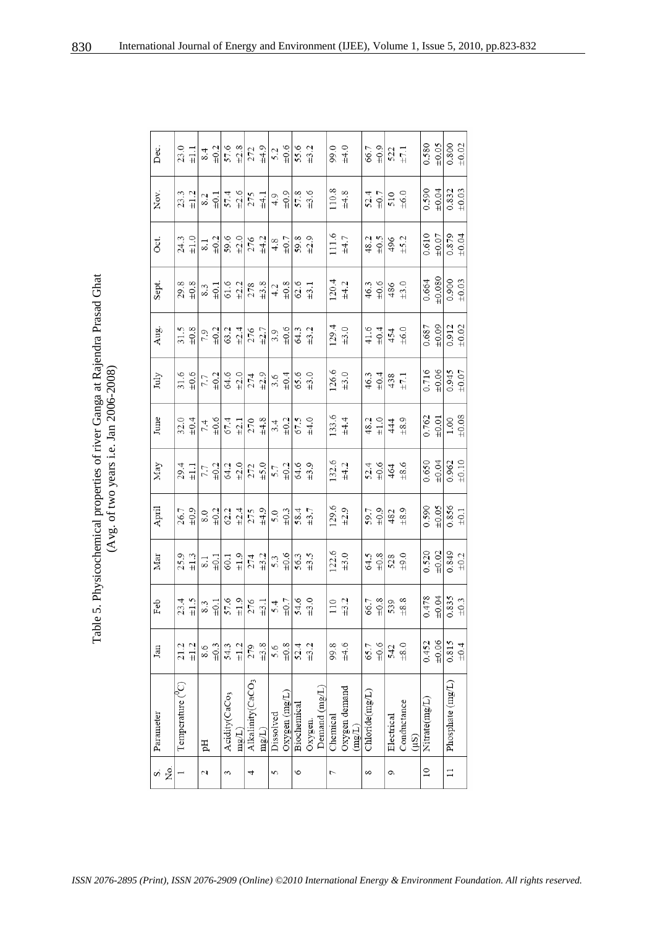Table 5. Physicochemical properties of river Ganga at Rajendra Prasad Ghat (Avg. of two years i.e. Jan 2006-2008) Table 5. Physicochemical properties of river Ganga at Rajendra Prasad Ghat (Avg. of two years i.e. Jan 2006-2008)

| Dec.      | $23.0 + 1.1$                                   | 8.4                      | $\pm 0.2$           |                                                                                                                                  | $\frac{57.6}{\pm 2.8}$ |                              |                    | $272$<br>$\frac{4.9}{5.2}$<br>$\frac{6}{5.6}$ |                                               |             | $55.6$<br>$\pm 3.2$                            |               |          | $99.0$<br>$+4.0$                           |       |                | $66.7$<br>$\pm 0.9$ | $\frac{522}{\pm 7.1}$                                                        |                      | 0.580           |                                                          | $\frac{\pm 0.05}{0.800}$ |
|-----------|------------------------------------------------|--------------------------|---------------------|----------------------------------------------------------------------------------------------------------------------------------|------------------------|------------------------------|--------------------|-----------------------------------------------|-----------------------------------------------|-------------|------------------------------------------------|---------------|----------|--------------------------------------------|-------|----------------|---------------------|------------------------------------------------------------------------------|----------------------|-----------------|----------------------------------------------------------|--------------------------|
| Nov.      | $23.3$<br>$\pm 1.2$                            | 8.2                      | $\pm 0.1$           |                                                                                                                                  | $57.4$<br>$\pm 2.6$    |                              | $275$<br>$\pm 4.1$ |                                               | $4.9$<br>$\pm 0.9$                            |             | $57.8$<br>$\pm 3.6$                            |               |          | $110.8$<br>$+4.8$                          |       |                | $52.4$<br>$\pm 0.7$ | $510$<br>$\pm 6.0$                                                           |                      | 0.590           | $\pm 0.04$                                               | $0.832$<br>$+0.03$       |
| Öci.      | $24.3$<br>$\pm 1.0$                            | $\overline{\phantom{0}}$ | $\pm 0.2$           |                                                                                                                                  | $59.6$<br>$\pm 2.0$    |                              | $276$<br>$\pm 4.2$ |                                               | $4.8$ $\pm 0.7$                               |             | $59.8$<br>$\pm 2.9$                            |               |          | $111.6$<br>$±4.7$                          |       |                | $48.2$<br>$\pm 0.5$ | $496 \pm 5.2$                                                                |                      | 0.610           | $\frac{10.07}{0.879}$                                    |                          |
| Sept.     | $29.8$<br>$+0.8$                               | 8.3                      | $\pm 0.1$           |                                                                                                                                  | $61.6$ $\pm 2.2$       |                              | $278$<br>$\pm 3.8$ |                                               | $4.2$ $_{\pm 0.8}$                            |             | $62.6$<br>$\pm 3.1$                            |               |          | $120.4$<br>$\pm 4.2$                       |       | 46.3           | $\pm 0.6$           | $\begin{array}{c} 486 \\ +3.0 \end{array}$                                   |                      | 0.664           | $\begin{array}{r} 10.080 \\ +0.000 \\ +0.03 \end{array}$ |                          |
| Aug.      | $\begin{array}{c} 31.5 \\ \pm 0.8 \end{array}$ |                          | $7.9 + 0.2$         |                                                                                                                                  | $63.2$<br>$\pm 2.4$    |                              | $^{276}_{\pm 2.7}$ |                                               | $3.9$<br>$\pm 0.6$                            |             | 64.3<br>#3.2                                   |               |          | $129.4$<br>$\pm 3.0$                       |       |                | $41.6$ $_{\pm 0.4}$ | $454$<br>$+6.0$                                                              |                      | 0.687           | $\begin{array}{r} 1000 \\ 1012 \\ 1002 \end{array}$      |                          |
| July      | $31.6$<br>$\pm 0.6$                            | 7.7                      | $\pm 0.2$           | $64.6$<br>$\pm 2.0$                                                                                                              |                        | $^{274}_{\pm 2.9}$           |                    |                                               | $\begin{array}{c} 3.6 \\ \pm 0.4 \end{array}$ | 65.6        | $\pm 3.0$                                      |               |          | $126.6$<br>$\pm 3.0$                       |       |                |                     | $46.3$<br>$\frac{4}{10}$<br>$\frac{4}{3}$<br>$\frac{3}{5}$<br>$\frac{1}{10}$ |                      | 0.716           | $\frac{10.06}{0.945}$                                    |                          |
| June      | $32.0 + 10.4$                                  | 7.4                      |                     | $\frac{\pm 0.6}{67.4}$                                                                                                           |                        |                              | $270$<br>$\pm 4.8$ |                                               | $_{\rm \pm0.2}^{3.4}$                         |             | $67.5$<br>$\pm 4.0$                            |               |          | $133.6$<br>$±4.4$                          |       |                | $48.2 \pm 1.0$      | $444\n\n+8.9$                                                                |                      | 0.762           | $\frac{1001}{1.00}$                                      |                          |
| May       | $29.4$<br>$\pm 1.1$                            | 7.7                      | $\pm 0.2$           |                                                                                                                                  | $64.2$<br>$\pm 2.0$    |                              |                    | $\frac{272}{150}$<br>$\frac{6}{5}$            |                                               |             | $64.6$<br>$\pm 3.9$                            |               |          | $132.6$<br>$\pm 4.2$                       |       |                | $52.4$<br>$\pm 0.6$ | $\begin{array}{c} 464 \\ \pm 8.6 \end{array}$                                |                      | 0.650           | $\frac{40,04}{0.962}$                                    |                          |
| April     | $26.7$<br>$\pm 0.9$                            |                          | $rac{8.0}{\pm 0.2}$ |                                                                                                                                  | $62.2$<br>$\pm 2.4$    | 275                          | $\pm 4.9$          |                                               | $5.0$ $\pm 0.3$                               |             | $58.4$<br>$\pm 3.7$                            |               |          | $129.6$<br>$+2.9$                          |       |                | $59.7$<br>$\pm 0.9$ | $\begin{array}{c} 482 \\ \pm 8.9 \end{array}$                                |                      | 0.590           | $\frac{10.05}{0.856}$                                    |                          |
| Mar       | $25.9$<br>$\pm 1.3$                            | 8.1                      | $\pm 0.1$           |                                                                                                                                  | $60.1$<br>$\pm 1.9$    |                              | $274$<br>$\pm 3.2$ |                                               | $\frac{5.3}{+0.6}$                            |             | $56.3$<br>$\pm 3.5$                            |               |          | $122.6$<br>$\pm 3.0$                       |       |                | $64.5$<br>$\pm 0.8$ | $\begin{array}{c} 528 \\ \pm 9.0 \end{array}$                                |                      |                 | $0.520$<br>$+0.02$<br>$+0.849$<br>$+0.2$                 |                          |
| Feb       | $23.4$<br>$\pm 1.5$                            |                          |                     | $\frac{33}{401}$<br>$\frac{10}{57}$<br>$\frac{6}{41}$<br>$\frac{31}{81}$<br>$\frac{11}{81}$<br>$\frac{4}{81}$<br>$\frac{11}{81}$ |                        |                              |                    |                                               |                                               |             | $\begin{array}{c} 54.6 \\ \pm 3.0 \end{array}$ |               |          | $\begin{array}{c} 110 \\ +3.2 \end{array}$ |       |                | $66.7$<br>$\pm 0.8$ | $539$<br>$\pm 8.8$                                                           |                      |                 | $\frac{6.478}{+0.04}$                                    | $\frac{0.835}{\pm 0.3}$  |
| Jan       | ±1.2<br>21.2                                   | 8.6                      | $\pm 0.3$           | 54.3                                                                                                                             | $\pm 1.2$              | 279                          | ±3.8               | 5.6                                           | $\pm 0.8$                                     | 52.4        | $\pm 3.2$                                      |               | 99.8     | ±4.6                                       |       | 65.7           | ±0.6                | 542                                                                          | $\pm 8.0$            | 0.452           | ±0.06                                                    | 0.815                    |
| Parameter | Temperature ( <sup>V</sup> C)                  | pН                       |                     | Acidity(CaCo <sub>3</sub>                                                                                                        | mg/L                   | Alkalinity(CaCO <sub>3</sub> | mg(L)              | Dissolved                                     | $Oxy$ gen $(mg/L)$                            | Biochemical | Oxygen.                                        | Demand (mg/L) | Chemical | Oxygen demand                              | mg(L) | Chloride(mg/L) |                     | Electrical                                                                   | Conductance<br>(1.5) | Nitrate(mg/L)   |                                                          | Phosphate (mg/L)         |
| ž.<br>si  |                                                | 2                        |                     | 3                                                                                                                                |                        | 4                            |                    | 5                                             |                                               | O           |                                                |               | 7        |                                            |       | $\infty$       |                     | Ó                                                                            |                      | $\overline{10}$ |                                                          | $\Box$                   |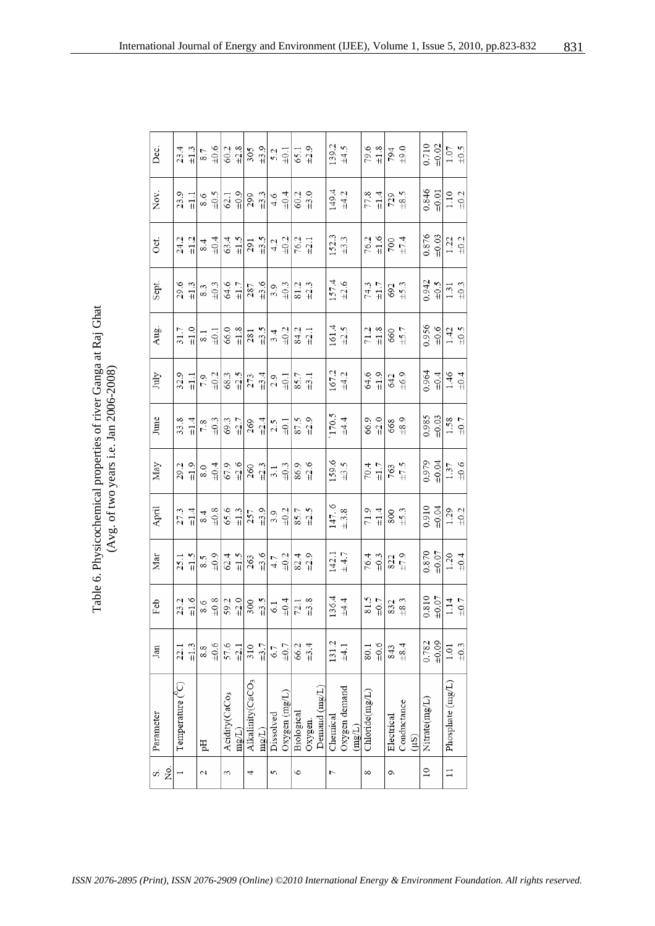Table 6. Physicochemical properties of river Ganga at Raj Ghat (Avg. of two years i.e. Jan 2006-2008) Table 6. Physicochemical properties of river Ganga at Raj Ghat (Avg. of two years i.e. Jan 2006-2008)

| Dec.                      |                         | $23.4$<br>$\pm 1.3$                            | 8.7 | $\pm 0.6$                          |                           |           | $rac{3}{6}$ $rac{3}{4}$ $rac{5}{8}$ $rac{9}{4}$                                                                               |           |           | $\frac{5.2}{\pm 0.1}$ | $65.1$<br>$\pm 2.9$                                     |                                                |               | $139.2$<br>$\pm 4.5$ |                      |        |                | $79.6$ $\pm 1.8$                               | $794$<br>$+9.0$                            |             |       | 0.710           |       | $\frac{20}{1.07}$                                                          |      |
|---------------------------|-------------------------|------------------------------------------------|-----|------------------------------------|---------------------------|-----------|-------------------------------------------------------------------------------------------------------------------------------|-----------|-----------|-----------------------|---------------------------------------------------------|------------------------------------------------|---------------|----------------------|----------------------|--------|----------------|------------------------------------------------|--------------------------------------------|-------------|-------|-----------------|-------|----------------------------------------------------------------------------|------|
| Nov.                      | 23.9                    | $\pm 1.1$                                      |     | $5.07 +$                           |                           |           | $rac{3}{8}$ $rac{9}{10}$ $rac{3}{8}$ $rac{3}{4}$ $rac{1}{4}$ $rac{4}{9}$ $rac{4}{9}$                                          |           |           |                       |                                                         | $60.2$<br>$\pm 3.0$                            |               | $149.4$<br>$\pm 4.2$ |                      |        |                | $77.8$<br>$\pm 1.4$                            | $729$<br>$\pm 8.5$                         |             |       | 0.846           |       | $\frac{10.01}{1.10}$                                                       |      |
| Oct.                      |                         | $24.2$<br>$\pm 1.2$                            |     | $64$<br>$+04$                      |                           |           | $rac{4}{3}$ $rac{5}{4}$ $rac{5}{4}$ $rac{5}{4}$ $rac{1}{4}$ $rac{1}{4}$ $rac{1}{4}$                                           |           |           |                       | $\begin{array}{c} 76.2 \\ \pm 2.1 \end{array}$          |                                                |               | $152.3$<br>$\pm 3.3$ |                      |        |                | $76.2$<br>$\pm 1.6$                            | $700$<br>$+7.4$                            |             |       | 0.876           |       | $\frac{103}{12}$<br>$\frac{12}{19}$                                        |      |
| Sept.                     | 29.6                    | $\pm 1.3$                                      |     | $\frac{3}{4}$ 3                    |                           |           | $\frac{6}{41}$ $\frac{1}{28}$ $\frac{6}{4}$ $\frac{6}{3}$ $\frac{3}{4}$                                                       |           |           |                       |                                                         | $\begin{array}{c} 81.2 \\ \pm 2.3 \end{array}$ |               | $157.4$<br>$\pm 2.6$ |                      |        |                | $\substack{74.3 \\ \pm 1.7}$                   | $692$<br>$\pm 5.3$                         |             |       | 0.942           |       | $\frac{10.5}{1.31}$                                                        |      |
| Aug.                      |                         | $\begin{array}{c} 31.7 \\ \pm 1.0 \end{array}$ |     | $\overset{<}{\scriptstyle \sim} 1$ |                           |           | $rac{3}{4}$ $rac{3}{8}$ $rac{3}{4}$                                                                                           |           |           | $3.4$<br>$\pm 0.2$    | $84.2$<br>$\pm 2.1$                                     |                                                |               | $161.4$<br>$\pm 2.5$ |                      |        |                | $\begin{array}{c} 71.2 \\ \pm 1.8 \end{array}$ | $660 + 5.7$                                |             |       |                 |       | $\frac{0.956}{\pm 0.6}$                                                    |      |
| July                      |                         | $\frac{32.9}{\pm 1.1}$                         |     | $7.9$<br>$\pm 0.2$                 |                           |           | $rac{3}{8}$ $rac{1}{2}$ $rac{1}{2}$ $rac{3}{4}$ $rac{4}{2}$ $rac{1}{2}$                                                       |           |           |                       | $\begin{array}{c} 85.7 \\ \pm 3.1 \end{array}$          |                                                |               | $167.2$<br>$\pm 4.2$ |                      |        |                | $64.6$<br>$\pm 1.9$                            | $642$<br>$+6.9$                            |             |       | 0.964           |       | $\frac{10.4}{1.46}$                                                        |      |
| June                      |                         | $\begin{array}{c} 33.8 \\ \pm 1.4 \end{array}$ |     | $7.8$<br>$\pm 0.3$                 |                           |           | $rac{3}{21}$ $rac{1}{29}$ $rac{3}{4}$                                                                                         |           |           | $_{\rm \pm0.1}^{2.5}$ | $87.5$<br>$+2.9$                                        |                                                |               | $170.5$<br>$±4.4$    |                      |        |                | $66.9$<br>$\pm 2.0$                            | 668<br>±8.9                                |             |       | 0.985           |       | $\frac{10.03}{1.58}$                                                       |      |
| $\ensuremath{\text{May}}$ |                         | $29.2$<br>$\pm 1.9$                            |     | $6.0 + 0.4$                        |                           |           | $rac{3}{6}$ $rac{9}{10}$ $rac{3}{4}$ $rac{3}{4}$ $rac{3}{4}$                                                                  |           |           |                       |                                                         | 86.9<br>+2.6                                   |               | $159.6$<br>$\pm 3.5$ |                      |        |                | $70.4$<br>$\pm 1.7$                            | $763$<br>$\pm 7.5$                         |             |       |                 |       | $\frac{+0.079}{1.37}$<br>$\pm 0.04$<br>$\pm 0.6$                           |      |
| April                     |                         | $27.3$ $\pm 1.4$                               |     | $6.4$<br>$+0.8$                    |                           |           | $rac{3}{4}$<br>$rac{3}{25}$<br>$rac{3}{4}$                                                                                    |           |           | $3.9$<br>$\pm 0.2$    | 85.7<br>+2.5                                            |                                                |               | $147.6$<br>$\pm 3.8$ |                      |        |                | $71.9$<br>$\pm 1.4$                            | $\begin{array}{c} 800 \\ +5.3 \end{array}$ |             |       | 0.910           |       | $\frac{40.04}{1.29}$                                                       |      |
| $\rm{Mar}$                |                         | $\frac{25.1}{\pm 1.5}$                         |     | $6.3 \pm 0.9$                      |                           |           | $rac{4}{62}$ $rac{1}{10}$ $rac{1}{62}$ $rac{6}{41}$                                                                           |           |           | $4.7$<br>$\pm 0.2$    | $82.4$<br>$+2.9$                                        |                                                |               | $142.1$<br>$\pm 4.7$ |                      |        |                | $76.4$<br>$\pm 0.3$                            | $822$<br>$\pm 7.9$                         |             |       |                 |       | $\begin{array}{r} 0.870 \\ \pm 0.07 \\ 1.20 \\ \pm 0.4 \end{array}$        |      |
| Feb                       |                         | $23.2$<br>$\pm1.6$                             |     |                                    |                           |           | $\frac{1}{3}$ $\frac{1}{3}$ $\frac{1}{3}$ $\frac{1}{3}$ $\frac{1}{3}$ $\frac{1}{3}$ $\frac{1}{3}$ $\frac{1}{3}$ $\frac{1}{4}$ |           |           |                       | $\begin{array}{c} \textbf{72.1} \\ \pm 3.8 \end{array}$ |                                                |               |                      | $136.4$<br>$\pm 4.4$ |        |                | $\frac{20}{5}$ 81.5                            | $\substack{832 \\ +8.3}$                   |             |       |                 |       | $\begin{array}{c} 0.810 \\ \pm 0.07 \\ \hline 1.14 \\ \pm 0.7 \end{array}$ |      |
| Jan                       | 22.1                    | $\pm 1.3$                                      | 8.8 | $\pm 0.6$                          | 57.6                      | $\pm 2.1$ | 310                                                                                                                           | $\pm 3.7$ | 6.7       | $\pm 0.7$             | 66.2                                                    | ±3.4                                           |               | 131.2                | ±4.1                 |        | 80.1           | ±0.6                                           | 843                                        | ±8.4        |       | 0.782           | ±0.09 | $1.01\,$                                                                   | ±0.3 |
| Parameter                 | Temperature $(^{\nu}C)$ |                                                | pH  |                                    | Acidity(CaCo <sub>3</sub> | mg(L)     | Alkalinity(CaCO <sub>3</sub>                                                                                                  | mg(L)     | Dissolved | Oxygen(mg/L)          | Biological                                              | Oxygen.                                        | Demand (mg/L) | Chemical             | Oxygen demand        | (mg/L) | Chloride(mg/L) |                                                | Electrical                                 | Conductance | (1.5) | Nitrate(mg/L)   |       | Phosphate (mg/L)                                                           |      |
| S,                        | Σó,                     |                                                | 2   |                                    | 3                         |           | 4                                                                                                                             |           | 5         |                       | $\circ$                                                 |                                                |               | L                    |                      |        | $\infty$       |                                                | Ç                                          |             |       | $\overline{10}$ |       | $\overline{11}$                                                            |      |

831